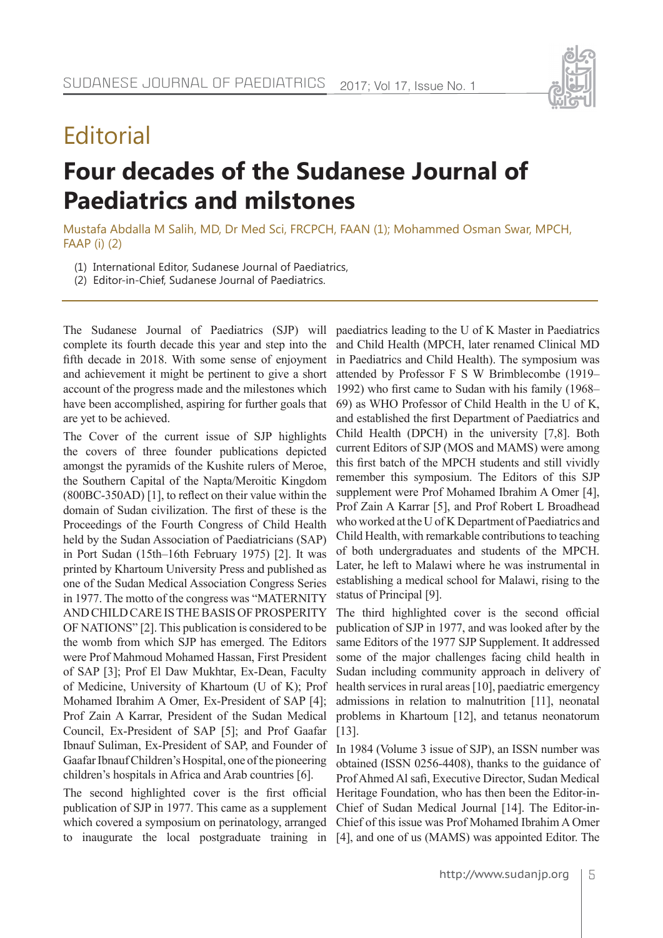

# **Editorial**

# **Four decades of the Sudanese Journal of Paediatrics and milstones**

Mustafa Abdalla M Salih, MD, Dr Med Sci, FRCPCH, FAAN (1); Mohammed Osman Swar, MPCH, FAAP (i) (2)

- (1) International Editor, Sudanese Journal of Paediatrics,
- (2) Editor-in-Chief, Sudanese Journal of Paediatrics.

The Sudanese Journal of Paediatrics (SJP) will complete its fourth decade this year and step into the fifth decade in 2018. With some sense of enjoyment and achievement it might be pertinent to give a short account of the progress made and the milestones which have been accomplished, aspiring for further goals that are yet to be achieved.

The Cover of the current issue of SJP highlights the covers of three founder publications depicted amongst the pyramids of the Kushite rulers of Meroe, the Southern Capital of the Napta/Meroitic Kingdom (800BC-350AD) [1], to reflect on their value within the domain of Sudan civilization. The first of these is the Proceedings of the Fourth Congress of Child Health held by the Sudan Association of Paediatricians (SAP) in Port Sudan (15th–16th February 1975) [2]. It was printed by Khartoum University Press and published as one of the Sudan Medical Association Congress Series in 1977. The motto of the congress was "MATERNITY AND CHILD CARE IS THE BASIS OF PROSPERITY OF NATIONS" [2]. This publication is considered to be the womb from which SJP has emerged. The Editors were Prof Mahmoud Mohamed Hassan, First President of SAP [3]; Prof El Daw Mukhtar, Ex-Dean, Faculty of Medicine, University of Khartoum (U of K); Prof Mohamed Ibrahim A Omer, Ex-President of SAP [4]; Prof Zain A Karrar, President of the Sudan Medical Council, Ex-President of SAP [5]; and Prof Gaafar Ibnauf Suliman, Ex-President of SAP, and Founder of Gaafar Ibnauf Children's Hospital, one of the pioneering children's hospitals in Africa and Arab countries [6].

The second highlighted cover is the first official publication of SJP in 1977. This came as a supplement which covered a symposium on perinatology, arranged to inaugurate the local postgraduate training in

paediatrics leading to the U of K Master in Paediatrics and Child Health (MPCH, later renamed Clinical MD in Paediatrics and Child Health). The symposium was attended by Professor F S W Brimblecombe (1919– 1992) who first came to Sudan with his family (1968– 69) as WHO Professor of Child Health in the U of K, and established the first Department of Paediatrics and Child Health (DPCH) in the university [7,8]. Both current Editors of SJP (MOS and MAMS) were among this first batch of the MPCH students and still vividly remember this symposium. The Editors of this SJP supplement were Prof Mohamed Ibrahim A Omer [4], Prof Zain A Karrar [5], and Prof Robert L Broadhead who worked at the U of K Department of Paediatrics and Child Health, with remarkable contributions to teaching of both undergraduates and students of the MPCH. Later, he left to Malawi where he was instrumental in establishing a medical school for Malawi, rising to the status of Principal [9].

The third highlighted cover is the second official publication of SJP in 1977, and was looked after by the same Editors of the 1977 SJP Supplement. It addressed some of the major challenges facing child health in Sudan including community approach in delivery of health services in rural areas [10], paediatric emergency admissions in relation to malnutrition [11], neonatal problems in Khartoum [12], and tetanus neonatorum [13].

In 1984 (Volume 3 issue of SJP), an ISSN number was obtained (ISSN 0256-4408), thanks to the guidance of Prof Ahmed Al safi, Executive Director, Sudan Medical Heritage Foundation, who has then been the Editor-in-Chief of Sudan Medical Journal [14]. The Editor-in-Chief of this issue was Prof Mohamed Ibrahim A Omer [4], and one of us (MAMS) was appointed Editor. The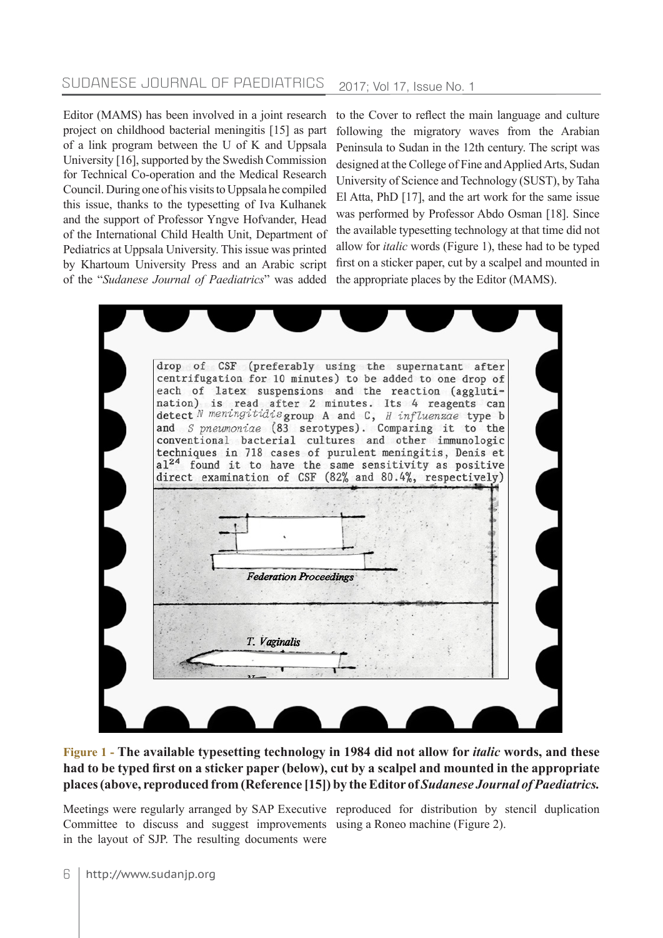### SUDANESE JOURNAL OF PAEDIATRICS 2017; Vol 17, Issue No. 1

Editor (MAMS) has been involved in a joint research project on childhood bacterial meningitis [15] as part of a link program between the U of K and Uppsala University [16], supported by the Swedish Commission for Technical Co-operation and the Medical Research Council. During one of his visits to Uppsala he compiled this issue, thanks to the typesetting of Iva Kulhanek and the support of Professor Yngve Hofvander, Head of the International Child Health Unit, Department of Pediatrics at Uppsala University. This issue was printed by Khartoum University Press and an Arabic script of the "*Sudanese Journal of Paediatrics*" was added

to the Cover to reflect the main language and culture following the migratory waves from the Arabian Peninsula to Sudan in the 12th century. The script was designed at the College of Fine and Applied Arts, Sudan University of Science and Technology (SUST), by Taha El Atta, PhD [17], and the art work for the same issue was performed by Professor Abdo Osman [18]. Since the available typesetting technology at that time did not allow for *italic* words (Figure 1), these had to be typed first on a sticker paper, cut by a scalpel and mounted in the appropriate places by the Editor (MAMS).

|                               | drop of CSF (preferably using the supernatant after<br>centrifugation for 10 minutes) to be added to one drop of<br>each of latex suspensions and the reaction (aggluti-<br>nation) is read after 2 minutes. Its 4 reagents can<br>detect N meningitidis group A and C, H influenzae type b<br>and S pneumoniae (83 serotypes). Comparing it to the<br>conventional bacterial cultures and other immunologic<br>techniques in 718 cases of purulent meningitis, Denis et<br>al <sup>24</sup> found it to have the same sensitivity as positive<br>direct examination of CSF (82% and 80.4%, respectively) |  |
|-------------------------------|-----------------------------------------------------------------------------------------------------------------------------------------------------------------------------------------------------------------------------------------------------------------------------------------------------------------------------------------------------------------------------------------------------------------------------------------------------------------------------------------------------------------------------------------------------------------------------------------------------------|--|
| <b>Federation Proceedings</b> |                                                                                                                                                                                                                                                                                                                                                                                                                                                                                                                                                                                                           |  |
| T. Vaginalis                  |                                                                                                                                                                                                                                                                                                                                                                                                                                                                                                                                                                                                           |  |

**Figure 1 - The available typesetting technology in 1984 did not allow for** *italic* **words, and these had to be typed first on a sticker paper (below), cut by a scalpel and mounted in the appropriate places (above, reproduced from (Reference [15]) by the Editor of** *Sudanese Journal of Paediatrics.*

Committee to discuss and suggest improvements using a Roneo machine (Figure 2).in the layout of SJP. The resulting documents were

Meetings were regularly arranged by SAP Executive reproduced for distribution by stencil duplication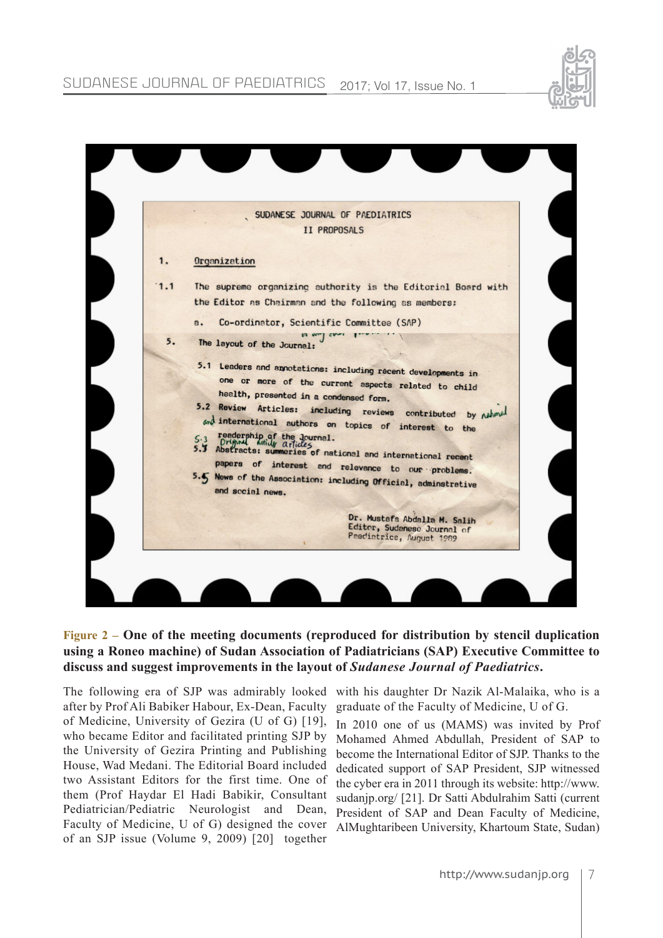### SUDANESE JOURNAL OF PAEDIATRICS 2017; Vol 17, Issue No. 1





#### **Figure 2 – One of the meeting documents (reproduced for distribution by stencil duplication using a Roneo machine) of Sudan Association of Padiatricians (SAP) Executive Committee to discuss and suggest improvements in the layout of** *Sudanese Journal of Paediatrics***.**

The following era of SJP was admirably looked with his daughter Dr Nazik Al-Malaika, who is a after by Prof Ali Babiker Habour, Ex-Dean, Faculty of Medicine, University of Gezira (U of G) [19], who became Editor and facilitated printing SJP by the University of Gezira Printing and Publishing House, Wad Medani. The Editorial Board included two Assistant Editors for the first time. One of them (Prof Haydar El Hadi Babikir, Consultant Pediatrician/Pediatric Neurologist and Dean, Faculty of Medicine, U of G) designed the cover of an SJP issue (Volume 9, 2009) [20] together

graduate of the Faculty of Medicine, U of G.

In 2010 one of us (MAMS) was invited by Prof Mohamed Ahmed Abdullah, President of SAP to become the International Editor of SJP. Thanks to the dedicated support of SAP President, SJP witnessed the cyber era in 2011 through its website: http://www. sudanjp.org/ [21]. Dr Satti Abdulrahim Satti (current President of SAP and Dean Faculty of Medicine, AlMughtaribeen University, Khartoum State, Sudan)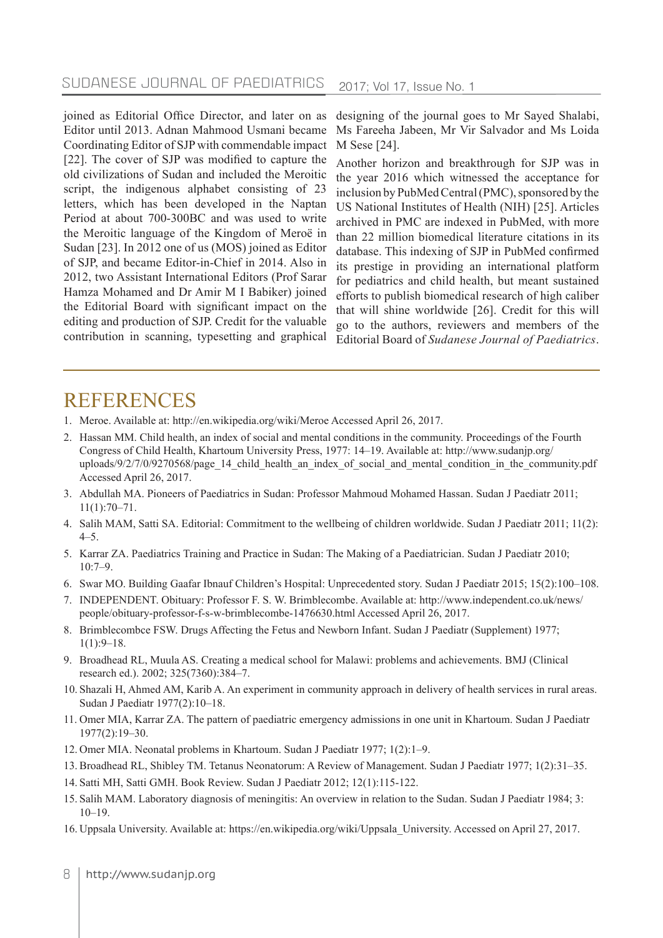#### SUDANESE JOURNAL OF PAEDIATRICS 2017; Vol 17, Issue No. 1

joined as Editorial Office Director, and later on as Editor until 2013. Adnan Mahmood Usmani became Coordinating Editor of SJP with commendable impact [22]. The cover of SJP was modified to capture the old civilizations of Sudan and included the Meroitic script, the indigenous alphabet consisting of 23 letters, which has been developed in the Naptan Period at about 700-300BC and was used to write the Meroitic language of the Kingdom of Meroë in Sudan [23]. In 2012 one of us (MOS) joined as Editor of SJP, and became Editor-in-Chief in 2014. Also in 2012, two Assistant International Editors (Prof Sarar Hamza Mohamed and Dr Amir M I Babiker) joined the Editorial Board with significant impact on the editing and production of SJP. Credit for the valuable contribution in scanning, typesetting and graphical

designing of the journal goes to Mr Sayed Shalabi, Ms Fareeha Jabeen, Mr Vir Salvador and Ms Loida M Sese [24].

Another horizon and breakthrough for SJP was in the year 2016 which witnessed the acceptance for inclusion by PubMed Central (PMC), sponsored by the US National Institutes of Health (NIH) [25]. Articles archived in PMC are indexed in PubMed, with more than 22 million biomedical literature citations in its database. This indexing of SJP in PubMed confirmed its prestige in providing an international platform for pediatrics and child health, but meant sustained efforts to publish biomedical research of high caliber that will shine worldwide [26]. Credit for this will go to the authors, reviewers and members of the Editorial Board of *Sudanese Journal of Paediatrics*.

## **REFERENCES**

- 1. Meroe. Available at: http://en.wikipedia.org/wiki/Meroe Accessed April 26, 2017.
- 2. Hassan MM. Child health, an index of social and mental conditions in the community. Proceedings of the Fourth Congress of Child Health, Khartoum University Press, 1977: 14–19. Available at: http://www.sudanjp.org/ uploads/9/2/7/0/9270568/page\_14\_child\_health\_an\_index\_of\_social\_and\_mental\_condition\_in\_the\_community.pdf Accessed April 26, 2017.
- 3. Abdullah MA. Pioneers of Paediatrics in Sudan: Professor Mahmoud Mohamed Hassan. Sudan J Paediatr 2011;  $11(1):70-71.$
- 4. Salih MAM, Satti SA. Editorial: Commitment to the wellbeing of children worldwide. Sudan J Paediatr 2011; 11(2): 4–5.
- 5. Karrar ZA. Paediatrics Training and Practice in Sudan: The Making of a Paediatrician. Sudan J Paediatr 2010; 10:7–9.
- 6. Swar MO. Building Gaafar Ibnauf Children's Hospital: Unprecedented story. Sudan J Paediatr 2015; 15(2):100–108.
- 7. INDEPENDENT. Obituary: Professor F. S. W. Brimblecombe. Available at: http://www.independent.co.uk/news/ people/obituary-professor-f-s-w-brimblecombe-1476630.html Accessed April 26, 2017.
- 8. Brimblecombce FSW. Drugs Affecting the Fetus and Newborn Infant. Sudan J Paediatr (Supplement) 1977;  $1(1):9-18.$
- 9. Broadhead RL, Muula AS. Creating a medical school for Malawi: problems and achievements. BMJ (Clinical research ed.). 2002; 325(7360):384–7.
- 10. Shazali H, Ahmed AM, Karib A. An experiment in community approach in delivery of health services in rural areas. Sudan J Paediatr 1977(2):10–18.
- 11. Omer MIA, Karrar ZA. The pattern of paediatric emergency admissions in one unit in Khartoum. Sudan J Paediatr 1977(2):19–30.
- 12. Omer MIA. Neonatal problems in Khartoum. Sudan J Paediatr 1977; 1(2):1–9.
- 13. Broadhead RL, Shibley TM. Tetanus Neonatorum: A Review of Management. Sudan J Paediatr 1977; 1(2):31–35.
- 14. Satti MH, Satti GMH. Book Review. Sudan J Paediatr 2012; 12(1):115-122.
- 15. Salih MAM. Laboratory diagnosis of meningitis: An overview in relation to the Sudan. Sudan J Paediatr 1984; 3:  $10-19$ .
- 16. Uppsala University. Available at: https://en.wikipedia.org/wiki/Uppsala\_University. Accessed on April 27, 2017.